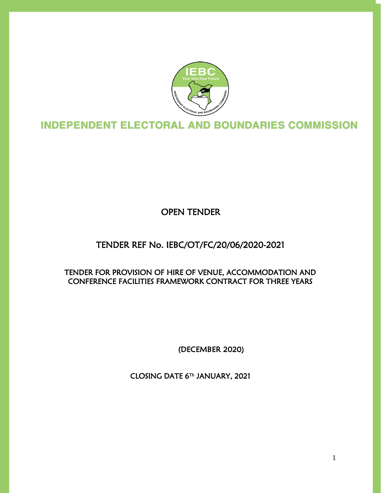

L Ĩ

OPEN TENDER

## TENDER REF No. IEBC/OT/FC/20/06/2020-2021

### TENDER FOR PROVISION OF HIRE OF VENUE, ACCOMMODATION AND CONFERENCE FACILITIES FRAMEWORK CONTRACT FOR THREE YEARS

(DECEMBER 2020)

CLOSING DATE 6 Th JANUARY, 2021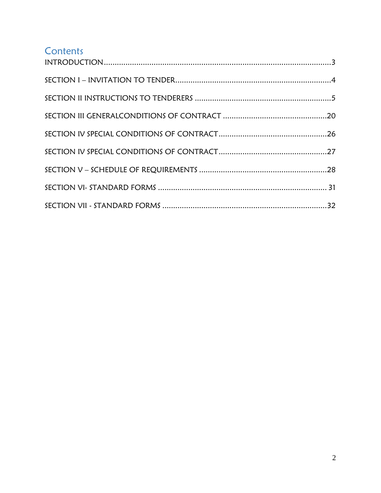# **Contents**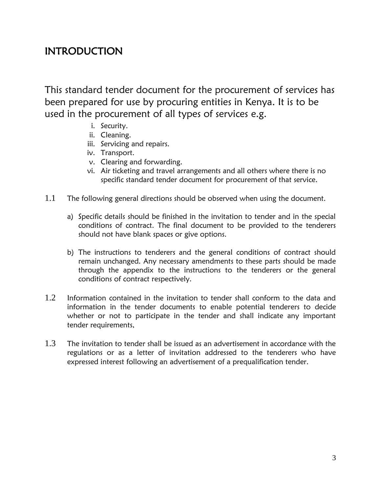# <span id="page-2-0"></span>INTRODUCTION

This standard tender document for the procurement of services has been prepared for use by procuring entities in Kenya. It is to be used in the procurement of all types of services e.g.

- i. Security.
- ii. Cleaning.
- iii. Servicing and repairs.
- iv. Transport.
- v. Clearing and forwarding.
- vi. Air ticketing and travel arrangements and all others where there is no specific standard tender document for procurement of that service.
- 1.1 The following general directions should be observed when using the document.
	- a) Specific details should be finished in the invitation to tender and in the special conditions of contract. The final document to be provided to the tenderers should not have blank spaces or give options.
	- b) The instructions to tenderers and the general conditions of contract should remain unchanged. Any necessary amendments to these parts should be made through the appendix to the instructions to the tenderers or the general conditions of contract respectively.
- 1.2 Information contained in the invitation to tender shall conform to the data and information in the tender documents to enable potential tenderers to decide whether or not to participate in the tender and shall indicate any important tender requirements,
- $1.3$  The invitation to tender shall be issued as an advertisement in accordance with the regulations or as a letter of invitation addressed to the tenderers who have expressed interest following an advertisement of a prequalification tender.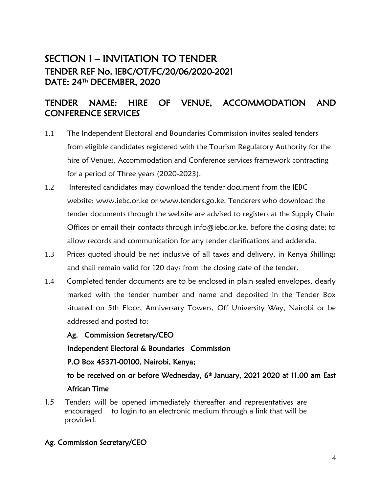## <span id="page-3-0"></span>SECTION I – INVITATION TO TENDER TENDER REF No. IEBC/OT/FC/20/06/2020-2021 DATE: 24Th DECEMBER, 2020

## TENDER NAME: HIRE OF VENUE, ACCOMMODATION AND CONFERENCE SERVICES

- 1.1 The Independent Electoral and Boundaries Commission invites sealed tenders from eligible candidates registered with the Tourism Regulatory Authority for the hire of Venues, Accommodation and Conference services framework contracting for a period of Three years (2020-2023).
- 1.2 Interested candidates may download the tender document from the IEBC website: www.iebc.or.ke or www.tenders.go.ke. Tenderers who download the tender documents through the website are advised to registers at the Supply Chain Offices or email their contacts through info@iebc.or.ke, before the closing date; to allow records and communication for any tender clarifications and addenda.
- 1.3 Prices quoted should be net inclusive of all taxes and delivery, in Kenya Shillings and shall remain valid for 120 days from the closing date of the tender.
- 1.4 Completed tender documents are to be enclosed in plain sealed envelopes, clearly marked with the tender number and name and deposited in the Tender Box situated on 5th Floor, Anniversary Towers, Off University Way, Nairobi or be addressed and posted to:

#### Ag. Commission Secretary/CEO

Independent Electoral & Boundaries Commission

P.O Box 45371-00100, Nairobi, Kenya;

to be received on or before Wednesday, 6<sup>th</sup> January, 2021 2020 at 11.00 am East African Time

1.5 Tenders will be opened immediately thereafter and representatives are encouraged to login to an electronic medium through a link that will be provided.

### Ag. Commission Secretary/CEO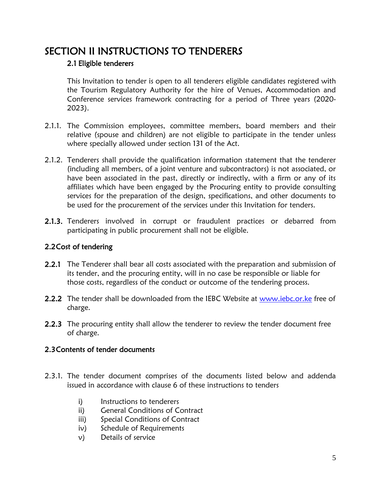## <span id="page-4-0"></span>SECTION II INSTRUCTIONS TO TENDERERS

#### 2.1 Eligible tenderers

This Invitation to tender is open to all tenderers eligible candidates registered with the Tourism Regulatory Authority for the hire of Venues, Accommodation and Conference services framework contracting for a period of Three years (2020- 2023).

- 2.1.1. The Commission employees, committee members, board members and their relative (spouse and children) are not eligible to participate in the tender unless where specially allowed under section 131 of the Act.
- 2.1.2. Tenderers shall provide the qualification information statement that the tenderer (including all members, of a joint venture and subcontractors) is not associated, or have been associated in the past, directly or indirectly, with a firm or any of its affiliates which have been engaged by the Procuring entity to provide consulting services for the preparation of the design, specifications, and other documents to be used for the procurement of the services under this Invitation for tenders.
- 2.1.3. Tenderers involved in corrupt or fraudulent practices or debarred from participating in public procurement shall not be eligible.

### 2.2Cost of tendering

- 2.2.1 The Tenderer shall bear all costs associated with the preparation and submission of its tender, and the procuring entity, will in no case be responsible or liable for those costs, regardless of the conduct or outcome of the tendering process.
- 2.2.2 The tender shall be downloaded from the IEBC Website at [www.iebc.or.ke](http://www.iebc.or.ke/) free of charge.
- **2.2.3** The procuring entity shall allow the tenderer to review the tender document free of charge.

### 2.3Contents of tender documents

- 2.3.1. The tender document comprises of the documents listed below and addenda issued in accordance with clause 6 of these instructions to tenders
	- i) Instructions to tenderers
	- ii) General Conditions of Contract
	- iii) Special Conditions of Contract
	- iv) Schedule of Requirements
	- v) Details of service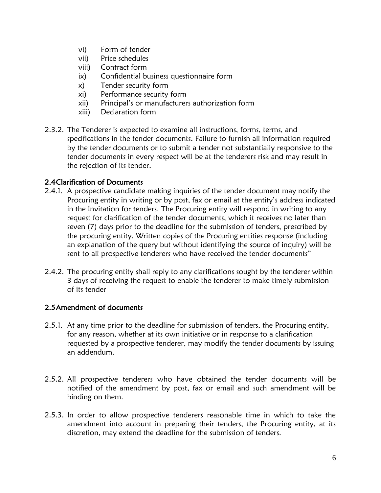- vi) Form of tender
- vii) Price schedules
- viii) Contract form
- ix) Confidential business questionnaire form
- x) Tender security form
- xi) Performance security form
- xii) Principal's or manufacturers authorization form
- xiii) Declaration form
- 2.3.2. The Tenderer is expected to examine all instructions, forms, terms, and specifications in the tender documents. Failure to furnish all information required by the tender documents or to submit a tender not substantially responsive to the tender documents in every respect will be at the tenderers risk and may result in the rejection of its tender.

#### 2.4Clarification of Documents

- 2.4.1. A prospective candidate making inquiries of the tender document may notify the Procuring entity in writing or by post, fax or email at the entity's address indicated in the Invitation for tenders. The Procuring entity will respond in writing to any request for clarification of the tender documents, which it receives no later than seven (7) days prior to the deadline for the submission of tenders, prescribed by the procuring entity. Written copies of the Procuring entities response (including an explanation of the query but without identifying the source of inquiry) will be sent to all prospective tenderers who have received the tender documents"
- 2.4.2. The procuring entity shall reply to any clarifications sought by the tenderer within 3 days of receiving the request to enable the tenderer to make timely submission of its tender

#### 2.5Amendment of documents

- 2.5.1. At any time prior to the deadline for submission of tenders, the Procuring entity, for any reason, whether at its own initiative or in response to a clarification requested by a prospective tenderer, may modify the tender documents by issuing an addendum.
- 2.5.2. All prospective tenderers who have obtained the tender documents will be notified of the amendment by post, fax or email and such amendment will be binding on them.
- 2.5.3. In order to allow prospective tenderers reasonable time in which to take the amendment into account in preparing their tenders, the Procuring entity, at its discretion, may extend the deadline for the submission of tenders.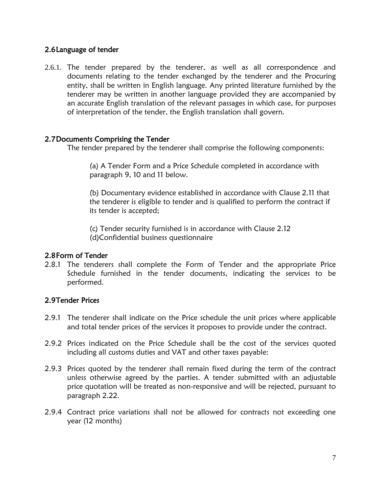#### 2.6Language of tender

2.6.1. The tender prepared by the tenderer, as well as all correspondence and documents relating to the tender exchanged by the tenderer and the Procuring entity, shall be written in English language. Any printed literature furnished by the tenderer may be written in another language provided they are accompanied by an accurate English translation of the relevant passages in which case, for purposes of interpretation of the tender, the English translation shall govern.

#### 2.7Documents Comprising the Tender

The tender prepared by the tenderer shall comprise the following components:

(a) A Tender Form and a Price Schedule completed in accordance with paragraph 9, 10 and 11 below.

(b) Documentary evidence established in accordance with Clause 2.11 that the tenderer is eligible to tender and is qualified to perform the contract if its tender is accepted;

(c) Tender security furnished is in accordance with Clause 2.12 (d)Confidential business questionnaire

#### 2.8Form of Tender

2.8.1 The tenderers shall complete the Form of Tender and the appropriate Price Schedule furnished in the tender documents, indicating the services to be performed.

#### 2.9Tender Prices

- 2.9.1 The tenderer shall indicate on the Price schedule the unit prices where applicable and total tender prices of the services it proposes to provide under the contract.
- 2.9.2 Prices indicated on the Price Schedule shall be the cost of the services quoted including all customs duties and VAT and other taxes payable:
- 2.9.3 Prices quoted by the tenderer shall remain fixed during the term of the contract unless otherwise agreed by the parties. A tender submitted with an adjustable price quotation will be treated as non-responsive and will be rejected, pursuant to paragraph 2.22.
- 2.9.4 Contract price variations shall not be allowed for contracts not exceeding one year (12 months)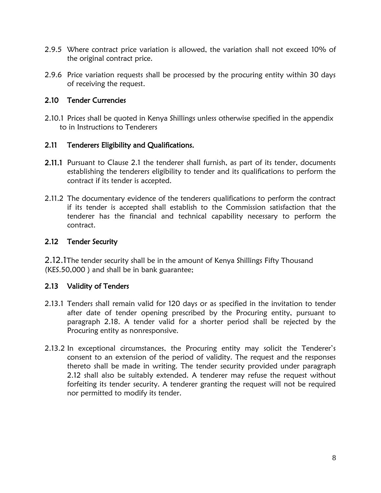- 2.9.5 Where contract price variation is allowed, the variation shall not exceed 10% of the original contract price.
- 2.9.6 Price variation requests shall be processed by the procuring entity within 30 days of receiving the request.

#### 2.10 Tender Currencies

2.10.1 Prices shall be quoted in Kenya Shillings unless otherwise specified in the appendix to in Instructions to Tenderers

#### 2.11 Tenderers Eligibility and Qualifications.

- **2.11.1** Pursuant to Clause 2.1 the tenderer shall furnish, as part of its tender, documents establishing the tenderers eligibility to tender and its qualifications to perform the contract if its tender is accepted.
- 2.11.2 The documentary evidence of the tenderers qualifications to perform the contract if its tender is accepted shall establish to the Commission satisfaction that the tenderer has the financial and technical capability necessary to perform the contract.

#### 2.12 Tender Security

2.12.1The tender security shall be in the amount of Kenya Shillings Fifty Thousand (KES.50,000 ) and shall be in bank guarantee;

#### 2.13 Validity of Tenders

- 2.13.1 Tenders shall remain valid for 120 days or as specified in the invitation to tender after date of tender opening prescribed by the Procuring entity, pursuant to paragraph 2.18. A tender valid for a shorter period shall be rejected by the Procuring entity as nonresponsive.
- 2.13.2 In exceptional circumstances, the Procuring entity may solicit the Tenderer's consent to an extension of the period of validity. The request and the responses thereto shall be made in writing. The tender security provided under paragraph 2.12 shall also be suitably extended. A tenderer may refuse the request without forfeiting its tender security. A tenderer granting the request will not be required nor permitted to modify its tender.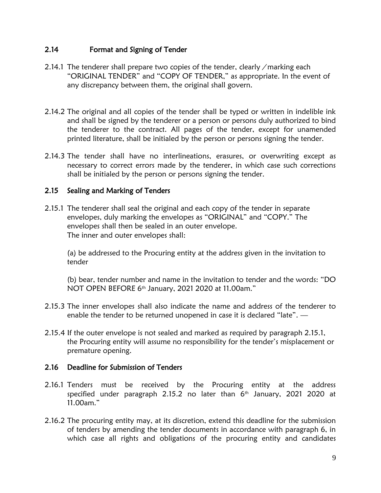#### 2.14 Format and Signing of Tender

- 2.14.1 The tenderer shall prepare two copies of the tender, clearly / marking each "ORIGINAL TENDER" and "COPY OF TENDER," as appropriate. In the event of any discrepancy between them, the original shall govern.
- 2.14.2 The original and all copies of the tender shall be typed or written in indelible ink and shall be signed by the tenderer or a person or persons duly authorized to bind the tenderer to the contract. All pages of the tender, except for unamended printed literature, shall be initialed by the person or persons signing the tender.
- 2.14.3 The tender shall have no interlineations, erasures, or overwriting except as necessary to correct errors made by the tenderer, in which case such corrections shall be initialed by the person or persons signing the tender.

#### 2.15 Sealing and Marking of Tenders

2.15.1 The tenderer shall seal the original and each copy of the tender in separate envelopes, duly marking the envelopes as "ORIGINAL" and "COPY." The envelopes shall then be sealed in an outer envelope. The inner and outer envelopes shall:

(a) be addressed to the Procuring entity at the address given in the invitation to tender

(b) bear, tender number and name in the invitation to tender and the words: "DO NOT OPEN BEFORE 6 th January, 2021 2020 at 11.00am."

- 2.15.3 The inner envelopes shall also indicate the name and address of the tenderer to enable the tender to be returned unopened in case it is declared "late". —
- 2.15.4 If the outer envelope is not sealed and marked as required by paragraph 2.15.1, the Procuring entity will assume no responsibility for the tender's misplacement or premature opening.

#### 2.16 Deadline for Submission of Tenders

- 2.16.1 Tenders must be received by the Procuring entity at the address specified under paragraph 2.15.2 no later than  $6<sup>th</sup>$  January, 2021 2020 at 11.00am."
- 2.16.2 The procuring entity may, at its discretion, extend this deadline for the submission of tenders by amending the tender documents in accordance with paragraph 6, in which case all rights and obligations of the procuring entity and candidates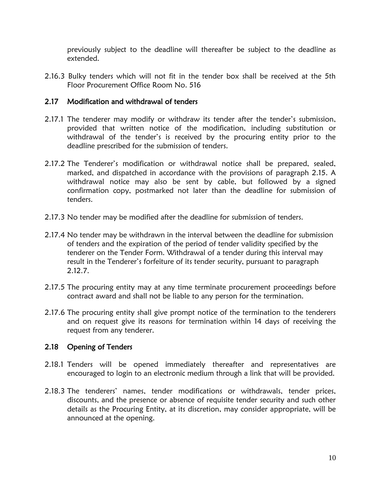previously subject to the deadline will thereafter be subject to the deadline as extended.

2.16.3 Bulky tenders which will not fit in the tender box shall be received at the 5th Floor Procurement Office Room No. 516

#### 2.17 Modification and withdrawal of tenders

- 2.17.1 The tenderer may modify or withdraw its tender after the tender's submission, provided that written notice of the modification, including substitution or withdrawal of the tender's is received by the procuring entity prior to the deadline prescribed for the submission of tenders.
- 2.17.2 The Tenderer's modification or withdrawal notice shall be prepared, sealed, marked, and dispatched in accordance with the provisions of paragraph 2.15. A withdrawal notice may also be sent by cable, but followed by a signed confirmation copy, postmarked not later than the deadline for submission of tenders.
- 2.17.3 No tender may be modified after the deadline for submission of tenders.
- 2.17.4 No tender may be withdrawn in the interval between the deadline for submission of tenders and the expiration of the period of tender validity specified by the tenderer on the Tender Form. Withdrawal of a tender during this interval may result in the Tenderer's forfeiture of its tender security, pursuant to paragraph 2.12.7.
- 2.17.5 The procuring entity may at any time terminate procurement proceedings before contract award and shall not be liable to any person for the termination.
- 2.17.6 The procuring entity shall give prompt notice of the termination to the tenderers and on request give its reasons for termination within 14 days of receiving the request from any tenderer.

#### 2.18 Opening of Tenders

- 2.18.1 Tenders will be opened immediately thereafter and representatives are encouraged to login to an electronic medium through a link that will be provided.
- 2.18.3 The tenderers' names, tender modifications or withdrawals, tender prices, discounts, and the presence or absence of requisite tender security and such other details as the Procuring Entity, at its discretion, may consider appropriate, will be announced at the opening.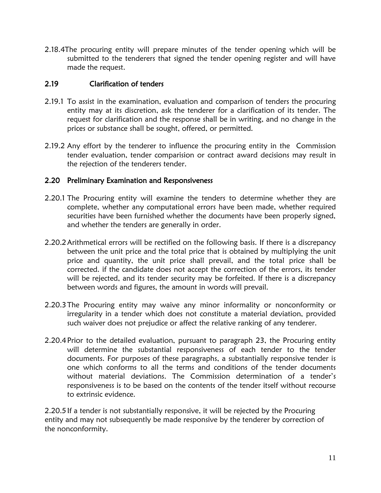2.18.4The procuring entity will prepare minutes of the tender opening which will be submitted to the tenderers that signed the tender opening register and will have made the request.

#### 2.19 Clarification of tenders

- 2.19.1 To assist in the examination, evaluation and comparison of tenders the procuring entity may at its discretion, ask the tenderer for a clarification of its tender. The request for clarification and the response shall be in writing, and no change in the prices or substance shall be sought, offered, or permitted.
- 2.19.2 Any effort by the tenderer to influence the procuring entity in the Commission tender evaluation, tender comparision or contract award decisions may result in the rejection of the tenderers tender.

#### 2.20 Preliminary Examination and Responsiveness

- 2.20.1 The Procuring entity will examine the tenders to determine whether they are complete, whether any computational errors have been made, whether required securities have been furnished whether the documents have been properly signed, and whether the tenders are generally in order.
- 2.20.2Arithmetical errors will be rectified on the following basis. If there is a discrepancy between the unit price and the total price that is obtained by multiplying the unit price and quantity, the unit price shall prevail, and the total price shall be corrected. if the candidate does not accept the correction of the errors, its tender will be rejected, and its tender security may be forfeited. If there is a discrepancy between words and figures, the amount in words will prevail.
- 2.20.3The Procuring entity may waive any minor informality or nonconformity or irregularity in a tender which does not constitute a material deviation, provided such waiver does not prejudice or affect the relative ranking of any tenderer.
- 2.20.4Prior to the detailed evaluation, pursuant to paragraph 23, the Procuring entity will determine the substantial responsiveness of each tender to the tender documents. For purposes of these paragraphs, a substantially responsive tender is one which conforms to all the terms and conditions of the tender documents without material deviations. The Commission determination of a tender's responsiveness is to be based on the contents of the tender itself without recourse to extrinsic evidence.

2.20.5If a tender is not substantially responsive, it will be rejected by the Procuring entity and may not subsequently be made responsive by the tenderer by correction of the nonconformity.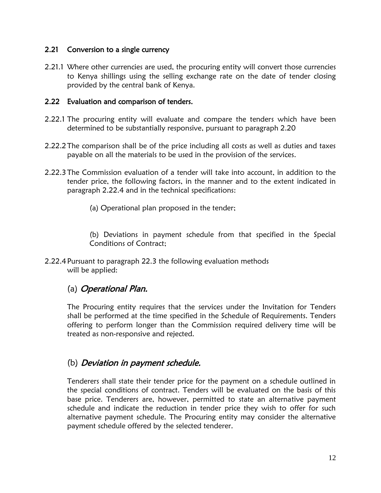#### 2.21 Conversion to a single currency

2.21.1 Where other currencies are used, the procuring entity will convert those currencies to Kenya shillings using the selling exchange rate on the date of tender closing provided by the central bank of Kenya.

#### 2.22 Evaluation and comparison of tenders.

- 2.22.1 The procuring entity will evaluate and compare the tenders which have been determined to be substantially responsive, pursuant to paragraph 2.20
- 2.22.2The comparison shall be of the price including all costs as well as duties and taxes payable on all the materials to be used in the provision of the services.
- 2.22.3The Commission evaluation of a tender will take into account, in addition to the tender price, the following factors, in the manner and to the extent indicated in paragraph 2.22.4 and in the technical specifications:
	- (a) Operational plan proposed in the tender;

(b) Deviations in payment schedule from that specified in the Special Conditions of Contract;

2.22.4 Pursuant to paragraph 22.3 the following evaluation methods will be applied:

### (a) Operational Plan.

The Procuring entity requires that the services under the Invitation for Tenders shall be performed at the time specified in the Schedule of Requirements. Tenders offering to perform longer than the Commission required delivery time will be treated as non-responsive and rejected.

### (b) Deviation in payment schedule.

Tenderers shall state their tender price for the payment on a schedule outlined in the special conditions of contract. Tenders will be evaluated on the basis of this base price. Tenderers are, however, permitted to state an alternative payment schedule and indicate the reduction in tender price they wish to offer for such alternative payment schedule. The Procuring entity may consider the alternative payment schedule offered by the selected tenderer.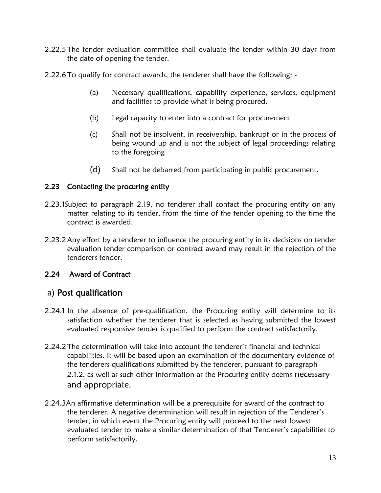- 2.22.5The tender evaluation committee shall evaluate the tender within 30 days from the date of opening the tender.
- 2.22.6To qualify for contract awards, the tenderer shall have the following:
	- (a) Necessary qualifications, capability experience, services, equipment and facilities to provide what is being procured.
	- (b) Legal capacity to enter into a contract for procurement
	- (c) Shall not be insolvent, in receivership, bankrupt or in the process of being wound up and is not the subject of legal proceedings relating to the foregoing
	- (d) Shall not be debarred from participating in public procurement.

### 2.23 Contacting the procuring entity

- 2.23.1Subject to paragraph 2.19, no tenderer shall contact the procuring entity on any matter relating to its tender, from the time of the tender opening to the time the contract is awarded.
- 2.23.2Any effort by a tenderer to influence the procuring entity in its decisions on tender evaluation tender comparison or contract award may result in the rejection of the tenderers tender.

### 2.24 Award of Contract

## a) Post qualification

- 2.24.1 In the absence of pre-qualification, the Procuring entity will determine to its satisfaction whether the tenderer that is selected as having submitted the lowest evaluated responsive tender is qualified to perform the contract satisfactorily.
- 2.24.2The determination will take into account the tenderer's financial and technical capabilities. It will be based upon an examination of the documentary evidence of the tenderers qualifications submitted by the tenderer, pursuant to paragraph 2.1.2, as well as such other information as the Procuring entity deems necessary and appropriate.
- 2.24.3An affirmative determination will be a prerequisite for award of the contract to the tenderer. A negative determination will result in rejection of the Tenderer's tender, in which event the Procuring entity will proceed to the next lowest evaluated tender to make a similar determination of that Tenderer's capabilities to perform satisfactorily.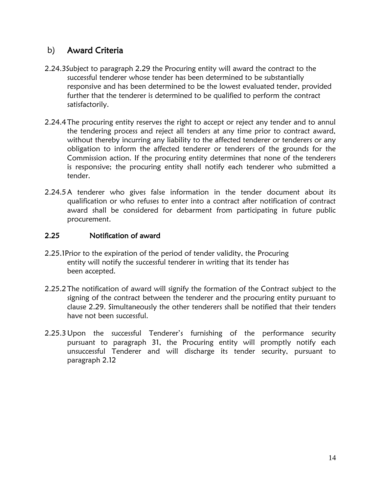### b) Award Criteria

- 2.24.3Subject to paragraph 2.29 the Procuring entity will award the contract to the successful tenderer whose tender has been determined to be substantially responsive and has been determined to be the lowest evaluated tender, provided further that the tenderer is determined to be qualified to perform the contract satisfactorily.
- 2.24.4The procuring entity reserves the right to accept or reject any tender and to annul the tendering process and reject all tenders at any time prior to contract award, without thereby incurring any liability to the affected tenderer or tenderers or any obligation to inform the affected tenderer or tenderers of the grounds for the Commission action. If the procuring entity determines that none of the tenderers is responsive; the procuring entity shall notify each tenderer who submitted a tender.
- 2.24.5A tenderer who gives false information in the tender document about its qualification or who refuses to enter into a contract after notification of contract award shall be considered for debarment from participating in future public procurement.

#### 2.25 Notification of award

- 2.25.1Prior to the expiration of the period of tender validity, the Procuring entity will notify the successful tenderer in writing that its tender has been accepted.
- 2.25.2The notification of award will signify the formation of the Contract subject to the signing of the contract between the tenderer and the procuring entity pursuant to clause 2.29. Simultaneously the other tenderers shall be notified that their tenders have not been successful.
- 2.25.3Upon the successful Tenderer's furnishing of the performance security pursuant to paragraph 31, the Procuring entity will promptly notify each unsuccessful Tenderer and will discharge its tender security, pursuant to paragraph 2.12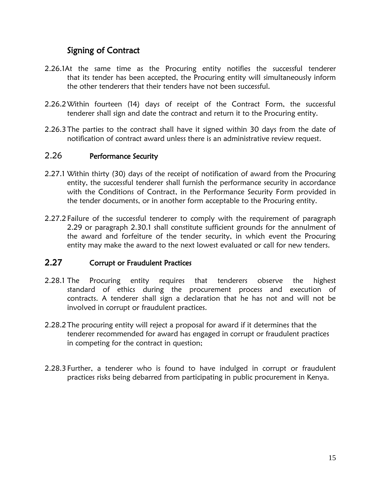### Signing of Contract

- 2.26.1At the same time as the Procuring entity notifies the successful tenderer that its tender has been accepted, the Procuring entity will simultaneously inform the other tenderers that their tenders have not been successful.
- 2.26.2Within fourteen (14) days of receipt of the Contract Form, the successful tenderer shall sign and date the contract and return it to the Procuring entity.
- 2.26.3The parties to the contract shall have it signed within 30 days from the date of notification of contract award unless there is an administrative review request.

#### 2.26 Performance Security

- 2.27.1 Within thirty (30) days of the receipt of notification of award from the Procuring entity, the successful tenderer shall furnish the performance security in accordance with the Conditions of Contract, in the Performance Security Form provided in the tender documents, or in another form acceptable to the Procuring entity.
- 2.27.2Failure of the successful tenderer to comply with the requirement of paragraph 2.29 or paragraph 2.30.1 shall constitute sufficient grounds for the annulment of the award and forfeiture of the tender security, in which event the Procuring entity may make the award to the next lowest evaluated or call for new tenders.

#### 2.27 Corrupt or Fraudulent Practices

- 2.28.1 The Procuring entity requires that tenderers observe the highest standard of ethics during the procurement process and execution of contracts. A tenderer shall sign a declaration that he has not and will not be involved in corrupt or fraudulent practices.
- 2.28.2The procuring entity will reject a proposal for award if it determines that the tenderer recommended for award has engaged in corrupt or fraudulent practices in competing for the contract in question;
- 2.28.3 Further, a tenderer who is found to have indulged in corrupt or fraudulent practices risks being debarred from participating in public procurement in Kenya.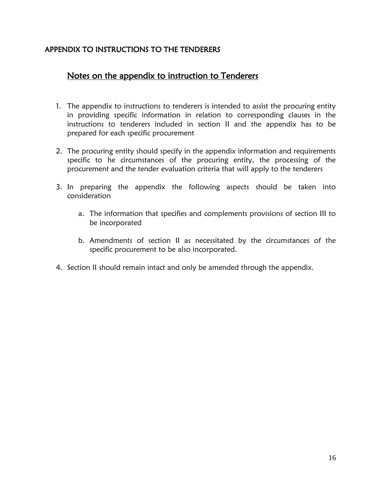#### APPENDIX TO INSTRUCTIONS TO THE TENDERERS

### Notes on the appendix to instruction to Tenderers

- 1. The appendix to instructions to tenderers is intended to assist the procuring entity in providing specific information in relation to corresponding clauses in the instructions to tenderers included in section II and the appendix has to be prepared for each specific procurement
- 2. The procuring entity should specify in the appendix information and requirements specific to he circumstances of the procuring entity, the processing of the procurement and the tender evaluation criteria that will apply to the tenderers
- 3. In preparing the appendix the following aspects should be taken into consideration
	- a. The information that specifies and complements provisions of section III to be incorporated
	- b. Amendments of section II as necessitated by the circumstances of the specific procurement to be also incorporated.
- 4. Section II should remain intact and only be amended through the appendix.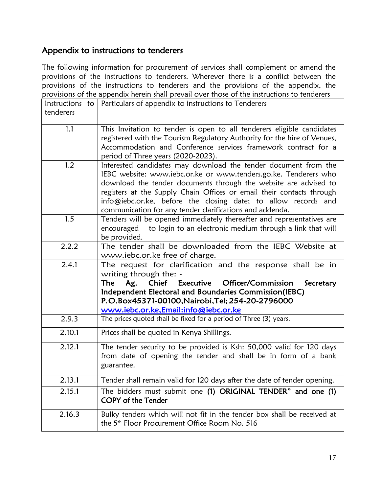## Appendix to instructions to tenderers

The following information for procurement of services shall complement or amend the provisions of the instructions to tenderers. Wherever there is a conflict between the provisions of the instructions to tenderers and the provisions of the appendix, the provisions of the appendix herein shall prevail over those of the instructions to tenderers

| Instructions to<br>tenderers | Particulars of appendix to instructions to Tenderers                                                                                                                                                                                                                                                                                                                                                           |
|------------------------------|----------------------------------------------------------------------------------------------------------------------------------------------------------------------------------------------------------------------------------------------------------------------------------------------------------------------------------------------------------------------------------------------------------------|
|                              |                                                                                                                                                                                                                                                                                                                                                                                                                |
| 1.1                          | This Invitation to tender is open to all tenderers eligible candidates<br>registered with the Tourism Regulatory Authority for the hire of Venues,<br>Accommodation and Conference services framework contract for a                                                                                                                                                                                           |
|                              | period of Three years (2020-2023).                                                                                                                                                                                                                                                                                                                                                                             |
| 1.2                          | Interested candidates may download the tender document from the<br>IEBC website: www.iebc.or.ke or www.tenders.go.ke. Tenderers who<br>download the tender documents through the website are advised to<br>registers at the Supply Chain Offices or email their contacts through<br>info@iebc.or.ke, before the closing date; to allow records and<br>communication for any tender clarifications and addenda. |
| 1.5                          | Tenders will be opened immediately thereafter and representatives are<br>to login to an electronic medium through a link that will<br>encouraged<br>be provided.                                                                                                                                                                                                                                               |
| 2.2.2                        | The tender shall be downloaded from the IEBC Website at<br>www.iebc.or.ke free of charge.                                                                                                                                                                                                                                                                                                                      |
| 2.4.1                        | The request for clarification and the response shall be in<br>writing through the: -<br>Ag.<br>Chief Executive Officer/Commission<br><b>The</b><br>Secretary<br>Independent Electoral and Boundaries Commission(IEBC)<br>P.O.Box45371-00100, Nairobi, Tel; 254-20-2796000<br>www.iebc.or.ke,Email:info@iebc.or.ke                                                                                              |
| 2.9.3                        | The prices quoted shall be fixed for a period of Three (3) years.                                                                                                                                                                                                                                                                                                                                              |
| 2.10.1                       | Prices shall be quoted in Kenya Shillings.                                                                                                                                                                                                                                                                                                                                                                     |
| 2.12.1                       | The tender security to be provided is Ksh: 50,000 valid for 120 days<br>from date of opening the tender and shall be in form of a bank<br>guarantee.                                                                                                                                                                                                                                                           |
| 2.13.1                       | Tender shall remain valid for 120 days after the date of tender opening.                                                                                                                                                                                                                                                                                                                                       |
| 2.15.1                       | The bidders must submit one (1) ORIGINAL TENDER" and one (1)<br><b>COPY of the Tender</b>                                                                                                                                                                                                                                                                                                                      |
| 2.16.3                       | Bulky tenders which will not fit in the tender box shall be received at<br>the 5 <sup>th</sup> Floor Procurement Office Room No. 516                                                                                                                                                                                                                                                                           |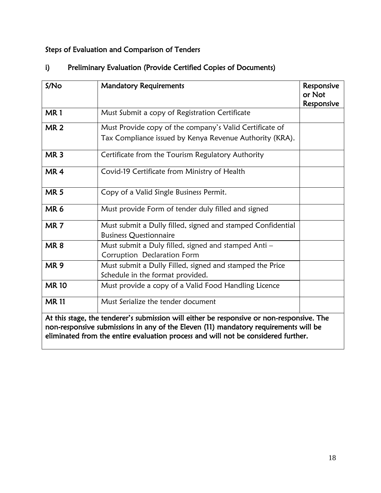## Steps of Evaluation and Comparison of Tenders

| S/No            | <b>Mandatory Requirements</b>                                                                                                                                                                                                                                         | Responsive<br>or Not<br>Responsive |
|-----------------|-----------------------------------------------------------------------------------------------------------------------------------------------------------------------------------------------------------------------------------------------------------------------|------------------------------------|
| <b>MR1</b>      | Must Submit a copy of Registration Certificate                                                                                                                                                                                                                        |                                    |
| <b>MR2</b>      | Must Provide copy of the company's Valid Certificate of                                                                                                                                                                                                               |                                    |
|                 | Tax Compliance issued by Kenya Revenue Authority (KRA).                                                                                                                                                                                                               |                                    |
| MR <sub>3</sub> | Certificate from the Tourism Regulatory Authority                                                                                                                                                                                                                     |                                    |
| MR <sub>4</sub> | Covid-19 Certificate from Ministry of Health                                                                                                                                                                                                                          |                                    |
| <b>MR5</b>      | Copy of a Valid Single Business Permit.                                                                                                                                                                                                                               |                                    |
| MR <sub>6</sub> | Must provide Form of tender duly filled and signed                                                                                                                                                                                                                    |                                    |
| MR <sub>7</sub> | Must submit a Dully filled, signed and stamped Confidential<br><b>Business Questionnaire</b>                                                                                                                                                                          |                                    |
| <b>MR8</b>      | Must submit a Duly filled, signed and stamped Anti -<br>Corruption Declaration Form                                                                                                                                                                                   |                                    |
| <b>MR9</b>      | Must submit a Dully Filled, signed and stamped the Price<br>Schedule in the format provided.                                                                                                                                                                          |                                    |
| <b>MR10</b>     | Must provide a copy of a Valid Food Handling Licence                                                                                                                                                                                                                  |                                    |
| <b>MR11</b>     | Must Serialize the tender document                                                                                                                                                                                                                                    |                                    |
|                 | At this stage, the tenderer's submission will either be responsive or non-responsive. The<br>non-responsive submissions in any of the Eleven (11) mandatory requirements will be<br>eliminated from the entire evaluation process and will not be considered further. |                                    |

## i) Preliminary Evaluation (Provide Certified Copies of Documents)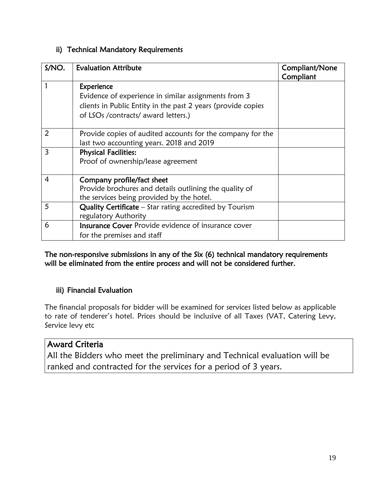#### ii) Technical Mandatory Requirements

| S/NO. | <b>Evaluation Attribute</b>                                                                                                                                                | Compliant/None<br>Compliant |
|-------|----------------------------------------------------------------------------------------------------------------------------------------------------------------------------|-----------------------------|
|       | Experience<br>Evidence of experience in similar assignments from 3<br>clients in Public Entity in the past 2 years (provide copies<br>of LSOs / contracts/ award letters.) |                             |
| 2     | Provide copies of audited accounts for the company for the<br>last two accounting years. 2018 and 2019                                                                     |                             |
| 3     | <b>Physical Facilities:</b><br>Proof of ownership/lease agreement                                                                                                          |                             |
| 4     | Company profile/fact sheet<br>Provide brochures and details outlining the quality of<br>the services being provided by the hotel.                                          |                             |
| 5     | <b>Quality Certificate</b> – Star rating accredited by Tourism<br>regulatory Authority                                                                                     |                             |
| 6     | <b>Insurance Cover Provide evidence of insurance cover</b><br>for the premises and staff                                                                                   |                             |

The non-responsive submissions in any of the Six (6) technical mandatory requirements will be eliminated from the entire process and will not be considered further.

### iii) Financial Evaluation

The financial proposals for bidder will be examined for services listed below as applicable to rate of tenderer's hotel. Prices should be inclusive of all Taxes (VAT, Catering Levy, Service levy etc

### Award Criteria

All the Bidders who meet the preliminary and Technical evaluation will be ranked and contracted for the services for a period of 3 years.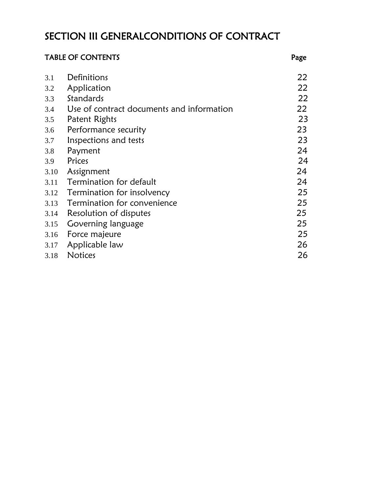# <span id="page-19-0"></span>SECTION III GENERALCONDITIONS OF CONTRACT

| <b>TABLE OF CONTENTS</b> |                                           | Page |
|--------------------------|-------------------------------------------|------|
| 3.1                      | Definitions                               | 22   |
| 3.2                      | Application                               | 22   |
| 3.3                      | Standards                                 | 22   |
| 3.4                      | Use of contract documents and information | 22   |
| 3.5                      | Patent Rights                             | 23   |
| 3.6                      | Performance security                      | 23   |
| 3.7                      | Inspections and tests                     | 23   |
| 3.8                      | Payment                                   | 24   |
| 3.9                      | Prices                                    | 24   |
| 3.10                     | Assignment                                | 24   |
| 3.11                     | Termination for default                   | 24   |
| 3.12                     | <b>Termination for insolvency</b>         | 25   |
| 3.13                     | Termination for convenience               | 25   |
| 3.14                     | Resolution of disputes                    | 25   |
| 3.15                     | Governing language                        | 25   |
| 3.16                     | Force majeure                             | 25   |
| 3.17                     | Applicable law                            | 26   |
| 3.18                     | <b>Notices</b>                            | 26   |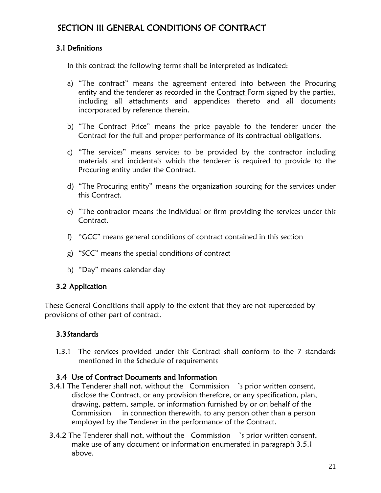## SECTION III GENERAL CONDITIONS OF CONTRACT

#### 3.1 Definitions

In this contract the following terms shall be interpreted as indicated:

- a) "The contract" means the agreement entered into between the Procuring entity and the tenderer as recorded in the Contract Form signed by the parties, including all attachments and appendices thereto and all documents incorporated by reference therein.
- b) "The Contract Price" means the price payable to the tenderer under the Contract for the full and proper performance of its contractual obligations.
- c) "The services" means services to be provided by the contractor including materials and incidentals which the tenderer is required to provide to the Procuring entity under the Contract.
- d) "The Procuring entity" means the organization sourcing for the services under this Contract.
- e) "The contractor means the individual or firm providing the services under this **Contract**
- f) "GCC" means general conditions of contract contained in this section
- g) "SCC" means the special conditions of contract
- h) "Day" means calendar day

#### 3.2 Application

These General Conditions shall apply to the extent that they are not superceded by provisions of other part of contract.

### 3.3Standards

1.3.1 The services provided under this Contract shall conform to the 7 standards mentioned in the Schedule of requirements

#### 3.4 Use of Contract Documents and Information

- 3.4.1 The Tenderer shall not, without the Commission 's prior written consent, disclose the Contract, or any provision therefore, or any specification, plan, drawing, pattern, sample, or information furnished by or on behalf of the Commission in connection therewith, to any person other than a person employed by the Tenderer in the performance of the Contract.
- 3.4.2 The Tenderer shall not, without the Commission 's prior written consent, make use of any document or information enumerated in paragraph 3.5.1 above.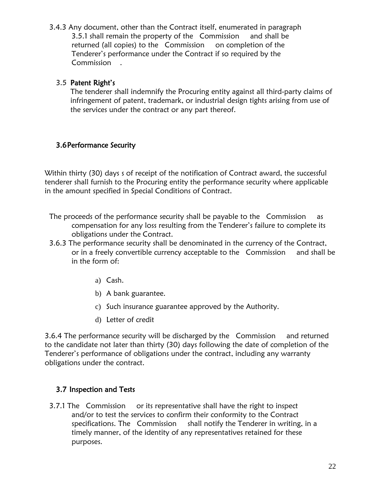3.4.3 Any document, other than the Contract itself, enumerated in paragraph 3.5.1 shall remain the property of the Commission and shall be returned (all copies) to the Commission on completion of the Tenderer's performance under the Contract if so required by the Commission .

#### 3.5 Patent Right's

The tenderer shall indemnify the Procuring entity against all third-party claims of infringement of patent, trademark, or industrial design tights arising from use of the services under the contract or any part thereof.

#### 3.6Performance Security

Within thirty (30) days s of receipt of the notification of Contract award, the successful tenderer shall furnish to the Procuring entity the performance security where applicable in the amount specified in Special Conditions of Contract.

- The proceeds of the performance security shall be payable to the Commission as compensation for any loss resulting from the Tenderer's failure to complete its obligations under the Contract.
- 3.6.3 The performance security shall be denominated in the currency of the Contract, or in a freely convertible currency acceptable to the Commission and shall be in the form of:
	- a) Cash.
	- b) A bank guarantee.
	- c) Such insurance guarantee approved by the Authority.
	- d) Letter of credit

3.6.4 The performance security will be discharged by the Commission and returned to the candidate not later than thirty (30) days following the date of completion of the Tenderer's performance of obligations under the contract, including any warranty obligations under the contract.

### 3.7 Inspection and Tests

3.7.1 The Commission or its representative shall have the right to inspect and/or to test the services to confirm their conformity to the Contract specifications. The Commission shall notify the Tenderer in writing, in a timely manner, of the identity of any representatives retained for these purposes.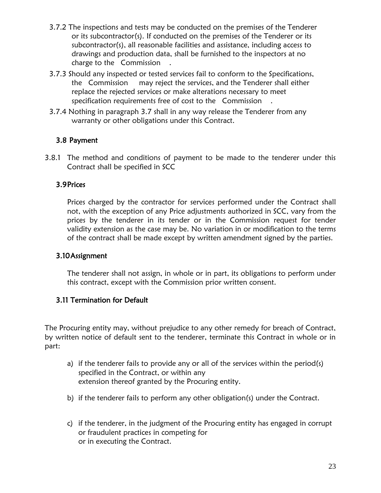- 3.7.2 The inspections and tests may be conducted on the premises of the Tenderer or its subcontractor(s). If conducted on the premises of the Tenderer or its subcontractor(s), all reasonable facilities and assistance, including access to drawings and production data, shall be furnished to the inspectors at no charge to the Commission .
- 3.7.3 Should any inspected or tested services fail to conform to the Specifications, the Commission may reject the services, and the Tenderer shall either replace the rejected services or make alterations necessary to meet specification requirements free of cost to the Commission .
- 3.7.4 Nothing in paragraph 3.7 shall in any way release the Tenderer from any warranty or other obligations under this Contract.

### 3.8 Payment

3.8.1 The method and conditions of payment to be made to the tenderer under this Contract shall be specified in SCC

#### 3.9Prices

Prices charged by the contractor for services performed under the Contract shall not, with the exception of any Price adjustments authorized in SCC, vary from the prices by the tenderer in its tender or in the Commission request for tender validity extension as the case may be. No variation in or modification to the terms of the contract shall be made except by written amendment signed by the parties.

#### 3.10Assignment

The tenderer shall not assign, in whole or in part, its obligations to perform under this contract, except with the Commission prior written consent.

### 3.11 Termination for Default

The Procuring entity may, without prejudice to any other remedy for breach of Contract, by written notice of default sent to the tenderer, terminate this Contract in whole or in part:

- a) if the tenderer fails to provide any or all of the services within the period(s) specified in the Contract, or within any extension thereof granted by the Procuring entity.
- b) if the tenderer fails to perform any other obligation(s) under the Contract.
- c) if the tenderer, in the judgment of the Procuring entity has engaged in corrupt or fraudulent practices in competing for or in executing the Contract.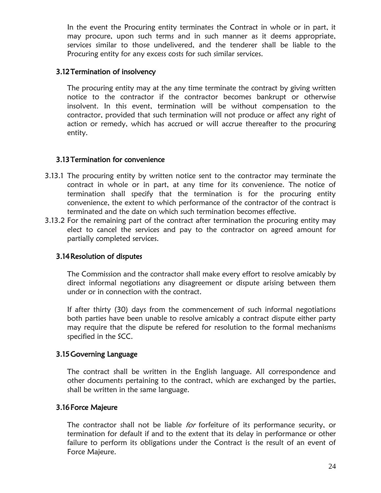In the event the Procuring entity terminates the Contract in whole or in part, it may procure, upon such terms and in such manner as it deems appropriate, services similar to those undelivered, and the tenderer shall be liable to the Procuring entity for any excess costs for such similar services.

#### 3.12Termination of insolvency

The procuring entity may at the any time terminate the contract by giving written notice to the contractor if the contractor becomes bankrupt or otherwise insolvent. In this event, termination will be without compensation to the contractor, provided that such termination will not produce or affect any right of action or remedy, which has accrued or will accrue thereafter to the procuring entity.

#### 3.13Termination for convenience

- 3.13.1 The procuring entity by written notice sent to the contractor may terminate the contract in whole or in part, at any time for its convenience. The notice of termination shall specify that the termination is for the procuring entity convenience, the extent to which performance of the contractor of the contract is terminated and the date on which such termination becomes effective.
- 3.13.2 For the remaining part of the contract after termination the procuring entity may elect to cancel the services and pay to the contractor on agreed amount for partially completed services.

#### 3.14Resolution of disputes

The Commission and the contractor shall make every effort to resolve amicably by direct informal negotiations any disagreement or dispute arising between them under or in connection with the contract.

If after thirty (30) days from the commencement of such informal negotiations both parties have been unable to resolve amicably a contract dispute either party may require that the dispute be refered for resolution to the formal mechanisms specified in the SCC.

#### 3.15Governing Language

The contract shall be written in the English language. All correspondence and other documents pertaining to the contract, which are exchanged by the parties, shall be written in the same language.

#### 3.16Force Majeure

The contractor shall not be liable for forfeiture of its performance security, or termination for default if and to the extent that its delay in performance or other failure to perform its obligations under the Contract is the result of an event of Force Majeure.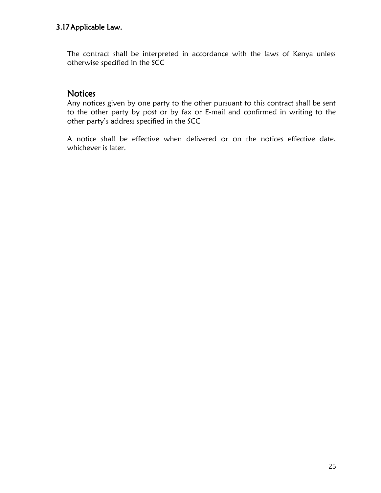#### 3.17Applicable Law.

The contract shall be interpreted in accordance with the laws of Kenya unless otherwise specified in the SCC

### **Notices**

Any notices given by one party to the other pursuant to this contract shall be sent to the other party by post or by fax or E-mail and confirmed in writing to the other party's address specified in the SCC

A notice shall be effective when delivered or on the notices effective date, whichever is later.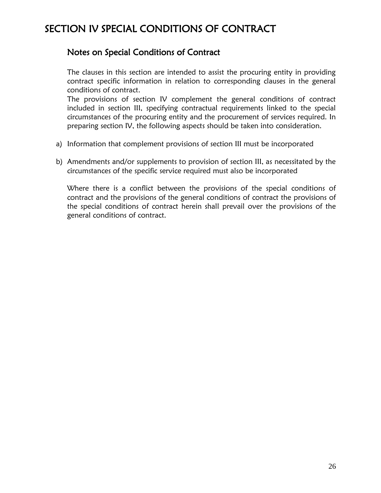# <span id="page-25-0"></span>SECTION IV SPECIAL CONDITIONS OF CONTRACT

### Notes on Special Conditions of Contract

The clauses in this section are intended to assist the procuring entity in providing contract specific information in relation to corresponding clauses in the general conditions of contract.

The provisions of section IV complement the general conditions of contract included in section III, specifying contractual requirements linked to the special circumstances of the procuring entity and the procurement of services required. In preparing section IV, the following aspects should be taken into consideration.

- a) Information that complement provisions of section III must be incorporated
- b) Amendments and/or supplements to provision of section III, as necessitated by the circumstances of the specific service required must also be incorporated

Where there is a conflict between the provisions of the special conditions of contract and the provisions of the general conditions of contract the provisions of the special conditions of contract herein shall prevail over the provisions of the general conditions of contract.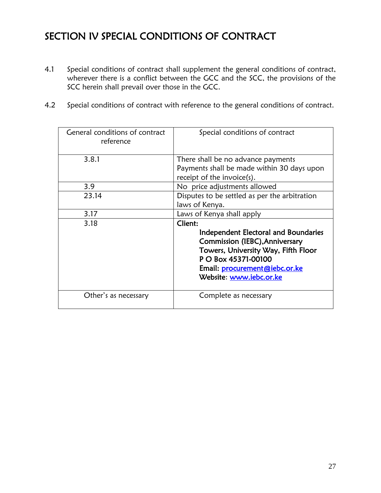# <span id="page-26-0"></span>SECTION IV SPECIAL CONDITIONS OF CONTRACT

- 4.1 Special conditions of contract shall supplement the general conditions of contract, wherever there is a conflict between the GCC and the SCC, the provisions of the SCC herein shall prevail over those in the GCC.
- 4.2 Special conditions of contract with reference to the general conditions of contract.

| General conditions of contract<br>reference | Special conditions of contract                                                                                                                                                                              |  |
|---------------------------------------------|-------------------------------------------------------------------------------------------------------------------------------------------------------------------------------------------------------------|--|
| 3.8.1                                       | There shall be no advance payments<br>Payments shall be made within 30 days upon<br>receipt of the invoice $(s)$ .                                                                                          |  |
| 3.9                                         | No price adjustments allowed                                                                                                                                                                                |  |
| 23.14                                       | Disputes to be settled as per the arbitration<br>laws of Kenya.                                                                                                                                             |  |
| 3.17                                        | Laws of Kenya shall apply                                                                                                                                                                                   |  |
| 3.18                                        | Client:<br>Independent Electoral and Boundaries<br>Commission (IEBC), Anniversary<br>Towers, University Way, Fifth Floor<br>P O Box 45371-00100<br>Email: procurement@iebc.or.ke<br>Website: www.iebc.or.ke |  |
| Other's as necessary                        | Complete as necessary                                                                                                                                                                                       |  |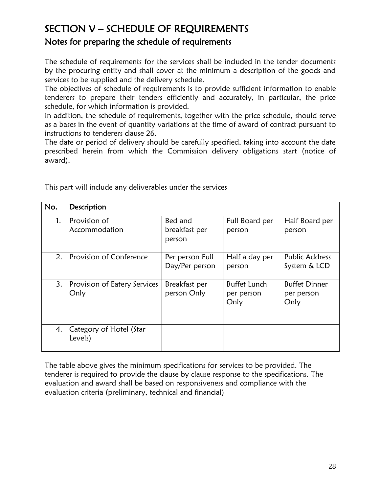## <span id="page-27-0"></span>SECTION V – SCHEDULE OF REQUIREMENTS Notes for preparing the schedule of requirements

The schedule of requirements for the services shall be included in the tender documents by the procuring entity and shall cover at the minimum a description of the goods and services to be supplied and the delivery schedule.

The objectives of schedule of requirements is to provide sufficient information to enable tenderers to prepare their tenders efficiently and accurately, in particular, the price schedule, for which information is provided.

In addition, the schedule of requirements, together with the price schedule, should serve as a bases in the event of quantity variations at the time of award of contract pursuant to instructions to tenderers clause 26.

The date or period of delivery should be carefully specified, taking into account the date prescribed herein from which the Commission delivery obligations start (notice of award).

| No. | Description                          |                                    |                                           |                                            |
|-----|--------------------------------------|------------------------------------|-------------------------------------------|--------------------------------------------|
| 1.  | Provision of<br>Accommodation        | Bed and<br>breakfast per<br>person | Full Board per<br>person                  | Half Board per<br>person                   |
| 2.  | Provision of Conference              | Per person Full<br>Day/Per person  | Half a day per<br>person                  | Public Address<br>System & LCD             |
| 3.  | Provision of Eatery Services<br>Only | Breakfast per<br>person Only       | <b>Buffet Lunch</b><br>per person<br>Only | <b>Buffet Dinner</b><br>per person<br>Only |
| 4.  | Category of Hotel (Star<br>Levels)   |                                    |                                           |                                            |

This part will include any deliverables under the services

The table above gives the minimum specifications for services to be provided. The tenderer is required to provide the clause by clause response to the specifications. The evaluation and award shall be based on responsiveness and compliance with the evaluation criteria (preliminary, technical and financial)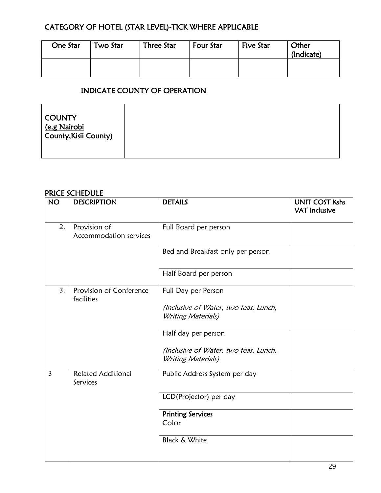### CATEGORY OF HOTEL (STAR LEVEL)-TICK WHERE APPLICABLE

| One Star | Two Star | <b>Three Star</b> | <b>Four Star</b> | <b>Five Star</b> | Other<br>(Indicate) |
|----------|----------|-------------------|------------------|------------------|---------------------|
|          |          |                   |                  |                  |                     |

### INDICATE COUNTY OF OPERATION

| COUNTY<br><u>(e.g Nairobi</u><br>County,Kisii County) |  |
|-------------------------------------------------------|--|
|                                                       |  |

### PRICE SCHEDULE

| <b>NO</b>      | <b>DESCRIPTION</b>                     | <b>DETAILS</b>                                              | <b>UNIT COST Kshs</b><br><b>VAT Inclusive</b> |
|----------------|----------------------------------------|-------------------------------------------------------------|-----------------------------------------------|
| 2.             | Provision of<br>Accommodation services | Full Board per person                                       |                                               |
|                |                                        | Bed and Breakfast only per person                           |                                               |
|                |                                        | Half Board per person                                       |                                               |
| 3.             | Provision of Conference<br>facilities  | Full Day per Person                                         |                                               |
|                |                                        | (Inclusive of Water, two teas, Lunch,<br>Writing Materials) |                                               |
|                |                                        | Half day per person                                         |                                               |
|                |                                        | (Inclusive of Water, two teas, Lunch,<br>Writing Materials) |                                               |
| $\overline{3}$ | <b>Related Additional</b><br>Services  | Public Address System per day                               |                                               |
|                |                                        | LCD(Projector) per day                                      |                                               |
|                |                                        | <b>Printing Services</b><br>Color                           |                                               |
|                |                                        | <b>Black &amp; White</b>                                    |                                               |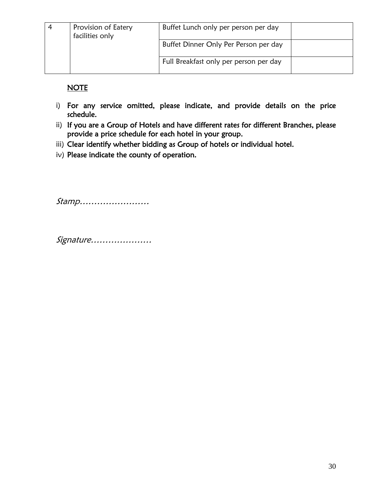| 4 | Provision of Eatery<br>facilities only | Buffet Lunch only per person per day   |  |
|---|----------------------------------------|----------------------------------------|--|
|   |                                        | Buffet Dinner Only Per Person per day  |  |
|   |                                        | Full Breakfast only per person per day |  |

**NOTE** 

- i) For any service omitted, please indicate, and provide details on the price schedule.
- ii) If you are a Group of Hotels and have different rates for different Branches, please provide a price schedule for each hotel in your group.
- iii) Clear identify whether bidding as Group of hotels or individual hotel.
- iv) Please indicate the county of operation.

Stamp……………………

Signature…………………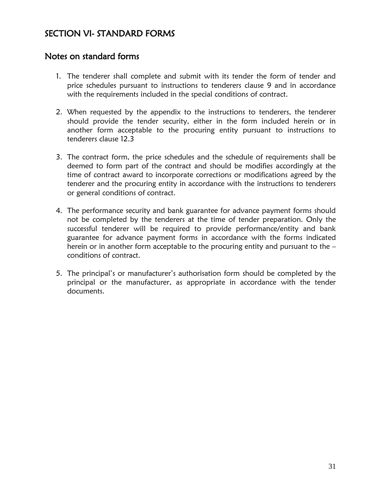## <span id="page-30-0"></span>SECTION VI- STANDARD FORMS

### Notes on standard forms

- 1. The tenderer shall complete and submit with its tender the form of tender and price schedules pursuant to instructions to tenderers clause 9 and in accordance with the requirements included in the special conditions of contract.
- 2. When requested by the appendix to the instructions to tenderers, the tenderer should provide the tender security, either in the form included herein or in another form acceptable to the procuring entity pursuant to instructions to tenderers clause 12.3
- 3. The contract form, the price schedules and the schedule of requirements shall be deemed to form part of the contract and should be modifies accordingly at the time of contract award to incorporate corrections or modifications agreed by the tenderer and the procuring entity in accordance with the instructions to tenderers or general conditions of contract.
- 4. The performance security and bank guarantee for advance payment forms should not be completed by the tenderers at the time of tender preparation. Only the successful tenderer will be required to provide performance/entity and bank guarantee for advance payment forms in accordance with the forms indicated herein or in another form acceptable to the procuring entity and pursuant to the – conditions of contract.
- 5. The principal's or manufacturer's authorisation form should be completed by the principal or the manufacturer, as appropriate in accordance with the tender documents.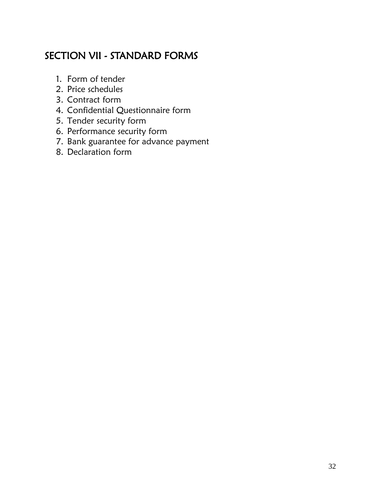# <span id="page-31-0"></span>SECTION VII - STANDARD FORMS

- 1. Form of tender
- 2. Price schedules
- 3. Contract form
- 4. Confidential Questionnaire form
- 5. Tender security form
- 6. Performance security form
- 7. Bank guarantee for advance payment
- 8. Declaration form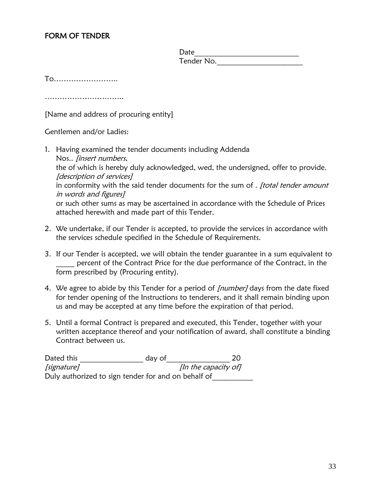#### FORM OF TENDER

Date Tender No.

To……………………..

…………………………………

[Name and address of procuring entity]

Gentlemen and/or Ladies:

- 1. Having examined the tender documents including Addenda Nos.. [insert numbers, the of which is hereby duly acknowledged, wed, the undersigned, offer to provide. [description of services] in conformity with the said tender documents for the sum of . *[total tender amount* in words and figures] or such other sums as may be ascertained in accordance with the Schedule of Prices attached herewith and made part of this Tender.
- 2. We undertake, if our Tender is accepted, to provide the services in accordance with the services schedule specified in the Schedule of Requirements.
- 3. If our Tender is accepted, we will obtain the tender guarantee in a sum equivalent to percent of the Contract Price for the due performance of the Contract, in the form prescribed by (Procuring entity).
- 4. We agree to abide by this Tender for a period of *[number]* days from the date fixed for tender opening of the Instructions to tenderers, and it shall remain binding upon us and may be accepted at any time before the expiration of that period.
- 5. Until a formal Contract is prepared and executed, this Tender, together with your written acceptance thereof and your notification of award, shall constitute a binding Contract between us.

| Dated this  | day of                                              | 20                   |
|-------------|-----------------------------------------------------|----------------------|
| [signature] |                                                     | [In the capacity of] |
|             | Duly authorized to sign tender for and on behalf of |                      |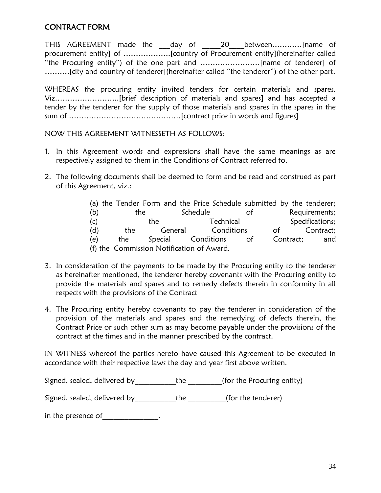#### CONTRACT FORM

THIS AGREEMENT made the day of 20 between.............. [name of procurement entity] of ……………….[country of Procurement entity](hereinafter called "the Procuring entity") of the one part and ……………………[name of tenderer] of ……….[city and country of tenderer](hereinafter called "the tenderer") of the other part.

WHEREAS the procuring entity invited tenders for certain materials and spares. Viz……………………..[brief description of materials and spares] and has accepted a tender by the tenderer for the supply of those materials and spares in the spares in the sum of ………………………………………[contract price in words and figures]

NOW THIS AGREEMENT WITNESSETH AS FOLLOWS:

- 1. In this Agreement words and expressions shall have the same meanings as are respectively assigned to them in the Conditions of Contract referred to.
- 2. The following documents shall be deemed to form and be read and construed as part of this Agreement, viz.:

|     |     |     | (a) the Tender Form and the Price Schedule submitted by the tenderer; |           |       |           |                 |
|-----|-----|-----|-----------------------------------------------------------------------|-----------|-------|-----------|-----------------|
| (b) | the |     | Schedule                                                              |           | of    |           | Requirements;   |
| (c) |     | the |                                                                       | Technical |       |           | Specifications; |
| (d) | the |     | General Conditions                                                    |           |       | of        | Contract;       |
| (e) | the |     | Special Conditions                                                    |           | of of | Contract; | and             |
|     |     |     | (f) the Commission Notification of Award.                             |           |       |           |                 |

- 3. In consideration of the payments to be made by the Procuring entity to the tenderer as hereinafter mentioned, the tenderer hereby covenants with the Procuring entity to provide the materials and spares and to remedy defects therein in conformity in all respects with the provisions of the Contract
- 4. The Procuring entity hereby covenants to pay the tenderer in consideration of the provision of the materials and spares and the remedying of defects therein, the Contract Price or such other sum as may become payable under the provisions of the contract at the times and in the manner prescribed by the contract.

IN WITNESS whereof the parties hereto have caused this Agreement to be executed in accordance with their respective laws the day and year first above written.

Signed, sealed, delivered by the (for the Procuring entity)

Signed, sealed, delivered by\_\_\_\_\_\_\_\_\_\_\_\_the \_\_\_\_\_\_\_\_\_(for the tenderer)

in the presence of Theorem in the presence of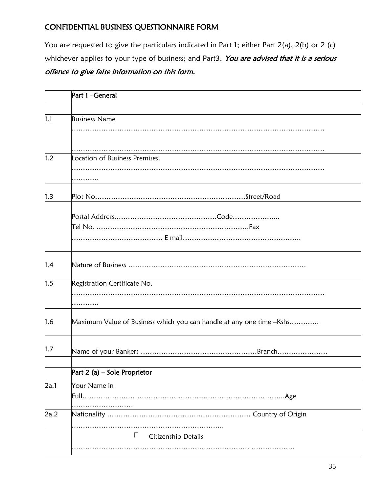### CONFIDENTIAL BUSINESS QUESTIONNAIRE FORM

You are requested to give the particulars indicated in Part 1; either Part 2(a), 2(b) or 2 (c) whichever applies to your type of business; and Part3. You are advised that it is a serious offence to give false information on this form.

|      | Part 1-General                                                       |
|------|----------------------------------------------------------------------|
|      |                                                                      |
| 1.1  | <b>Business Name</b>                                                 |
|      |                                                                      |
| 1.2  | Location of Business Premises.                                       |
| 1.3  |                                                                      |
|      |                                                                      |
| 1.4  |                                                                      |
| 1.5  | Registration Certificate No.                                         |
| 1.6  | Maximum Value of Business which you can handle at any one time -Kshs |
| 1.7  |                                                                      |
|      | Part 2 (a) – Sole Proprietor                                         |
| 2a.1 | Your Name in<br>.Age                                                 |
| 2a.2 |                                                                      |
|      | $\mathbb{R}^n$<br>Citizenship Details                                |
|      |                                                                      |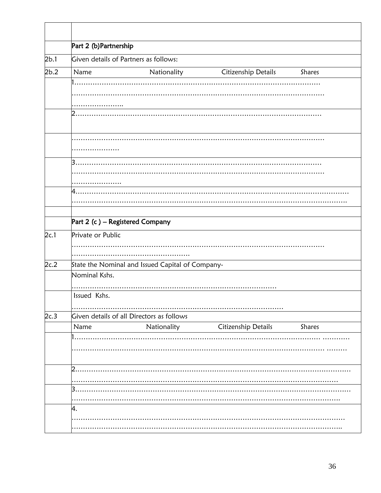|      | Part 2 (b) Partnership                               |  |  |  |  |  |  |
|------|------------------------------------------------------|--|--|--|--|--|--|
| 2b.1 | Given details of Partners as follows:                |  |  |  |  |  |  |
| 2b.2 | Citizenship Details<br>Name<br>Nationality<br>Shares |  |  |  |  |  |  |
|      |                                                      |  |  |  |  |  |  |
|      |                                                      |  |  |  |  |  |  |
|      |                                                      |  |  |  |  |  |  |
|      |                                                      |  |  |  |  |  |  |
|      |                                                      |  |  |  |  |  |  |
|      |                                                      |  |  |  |  |  |  |
|      | З                                                    |  |  |  |  |  |  |
|      |                                                      |  |  |  |  |  |  |
|      |                                                      |  |  |  |  |  |  |
|      |                                                      |  |  |  |  |  |  |
|      |                                                      |  |  |  |  |  |  |
|      |                                                      |  |  |  |  |  |  |
|      | Part 2 (c) - Registered Company                      |  |  |  |  |  |  |
| 2c.1 | Private or Public                                    |  |  |  |  |  |  |
|      |                                                      |  |  |  |  |  |  |
|      |                                                      |  |  |  |  |  |  |
| 2c.2 | State the Nominal and Issued Capital of Company-     |  |  |  |  |  |  |
|      | Nominal Kshs.                                        |  |  |  |  |  |  |
|      |                                                      |  |  |  |  |  |  |
|      | Issued Kshs.                                         |  |  |  |  |  |  |
|      |                                                      |  |  |  |  |  |  |
| 2c.3 | Given details of all Directors as follows            |  |  |  |  |  |  |
|      | Nationality<br>Citizenship Details<br>Shares<br>Name |  |  |  |  |  |  |
|      |                                                      |  |  |  |  |  |  |
|      |                                                      |  |  |  |  |  |  |
|      | フ                                                    |  |  |  |  |  |  |
|      |                                                      |  |  |  |  |  |  |
|      | 3                                                    |  |  |  |  |  |  |
|      |                                                      |  |  |  |  |  |  |
|      | 4.                                                   |  |  |  |  |  |  |
|      |                                                      |  |  |  |  |  |  |
|      |                                                      |  |  |  |  |  |  |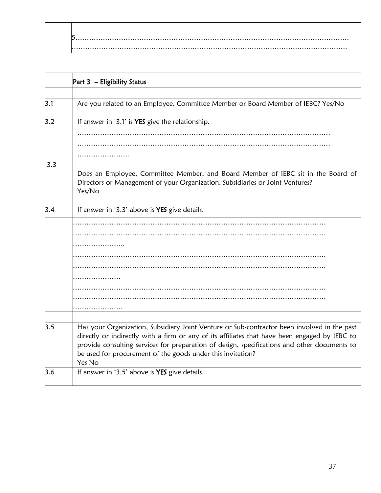|     | Part 3 - Eligibility Status                                                                                                                                                                                                                                                                                                                                           |
|-----|-----------------------------------------------------------------------------------------------------------------------------------------------------------------------------------------------------------------------------------------------------------------------------------------------------------------------------------------------------------------------|
|     |                                                                                                                                                                                                                                                                                                                                                                       |
| 3.1 | Are you related to an Employee, Committee Member or Board Member of IEBC? Yes/No                                                                                                                                                                                                                                                                                      |
| 3.2 | If answer in '3.1' is YES give the relationship.                                                                                                                                                                                                                                                                                                                      |
|     |                                                                                                                                                                                                                                                                                                                                                                       |
|     |                                                                                                                                                                                                                                                                                                                                                                       |
| 3.3 | Does an Employee, Committee Member, and Board Member of IEBC sit in the Board of<br>Directors or Management of your Organization, Subsidiaries or Joint Ventures?<br>Yes/No                                                                                                                                                                                           |
| 3.4 | If answer in '3.3' above is YES give details.                                                                                                                                                                                                                                                                                                                         |
|     |                                                                                                                                                                                                                                                                                                                                                                       |
|     |                                                                                                                                                                                                                                                                                                                                                                       |
|     |                                                                                                                                                                                                                                                                                                                                                                       |
|     |                                                                                                                                                                                                                                                                                                                                                                       |
|     |                                                                                                                                                                                                                                                                                                                                                                       |
|     |                                                                                                                                                                                                                                                                                                                                                                       |
|     |                                                                                                                                                                                                                                                                                                                                                                       |
|     |                                                                                                                                                                                                                                                                                                                                                                       |
|     | .                                                                                                                                                                                                                                                                                                                                                                     |
| 3.5 | Has your Organization, Subsidiary Joint Venture or Sub-contractor been involved in the past<br>directly or indirectly with a firm or any of its affiliates that have been engaged by IEBC to<br>provide consulting services for preparation of design, specifications and other documents to<br>be used for procurement of the goods under this invitation?<br>Yes No |
| 3.6 | If answer in '3.5' above is YES give details.                                                                                                                                                                                                                                                                                                                         |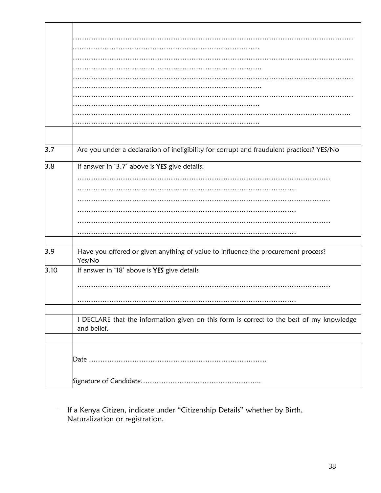| 3.7  | Are you under a declaration of ineligibility for corrupt and fraudulent practices? YES/No |
|------|-------------------------------------------------------------------------------------------|
| 3.8  | If answer in '3.7' above is YES give details:                                             |
|      |                                                                                           |
|      |                                                                                           |
|      |                                                                                           |
|      |                                                                                           |
|      |                                                                                           |
|      |                                                                                           |
|      |                                                                                           |
|      |                                                                                           |
| 3.9  | Have you offered or given anything of value to influence the procurement process?         |
|      | Yes/No                                                                                    |
| 3.10 | If answer in '18' above is YES give details                                               |
|      |                                                                                           |
|      |                                                                                           |
|      |                                                                                           |
|      |                                                                                           |
|      |                                                                                           |
|      | I DECLARE that the information given on this form is correct to the best of my knowledge  |
|      | and belief.                                                                               |
|      |                                                                                           |
|      |                                                                                           |
|      |                                                                                           |
|      |                                                                                           |
|      |                                                                                           |
|      |                                                                                           |

If a Kenya Citizen, indicate under "Citizenship Details" whether by Birth, Naturalization or registration.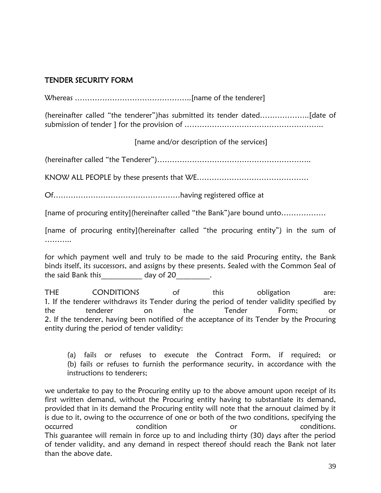### TENDER SECURITY FORM

Whereas ………………………………………..[name of the tenderer]

(hereinafter called "the tenderer")has submitted its tender dated………………..[date of submission of tender ] for the provision of ………………………………………………..

[name and/or description of the services]

(hereinafter called "the Tenderer")……………………………………………………..

KNOW ALL PEOPLE by these presents that WE………………………………………

Of……………………………………………having registered office at

[name of procuring entity](hereinafter called "the Bank")are bound unto………………

[name of procuring entity](hereinafter called "the procuring entity") in the sum of …………

for which payment well and truly to be made to the said Procuring entity, the Bank binds itself, its successors, and assigns by these presents. Sealed with the Common Seal of the said Bank this both day of 20 and the said Bank this

THE CONDITIONS of this obligation are: 1. If the tenderer withdraws its Tender during the period of tender validity specified by the tenderer on the Tender Form; or 2. If the tenderer, having been notified of the acceptance of its Tender by the Procuring entity during the period of tender validity:

(a) fails or refuses to execute the Contract Form, if required; or (b) fails or refuses to furnish the performance security, in accordance with the instructions to tenderers;

we undertake to pay to the Procuring entity up to the above amount upon receipt of its first written demand, without the Procuring entity having to substantiate its demand, provided that in its demand the Procuring entity will note that the arnouut claimed by it is due to it, owing to the occurrence of one or both of the two conditions, specifying the occurred condition or conditions. This guarantee will remain in force up to and including thirty (30) days after the period of tender validity, and any demand in respect thereof should reach the Bank not later than the above date.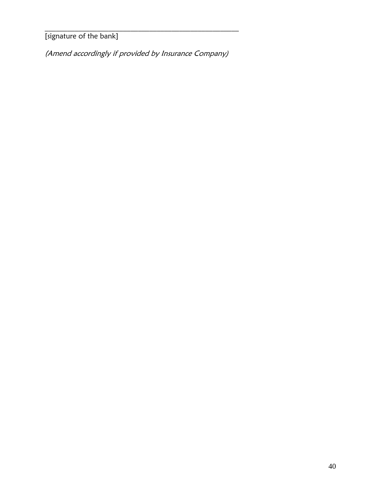[signature of the bank]

(Amend accordingly if provided by Insurance Company)

 $\mathcal{L}_\text{max}$  and  $\mathcal{L}_\text{max}$  and  $\mathcal{L}_\text{max}$  and  $\mathcal{L}_\text{max}$  and  $\mathcal{L}_\text{max}$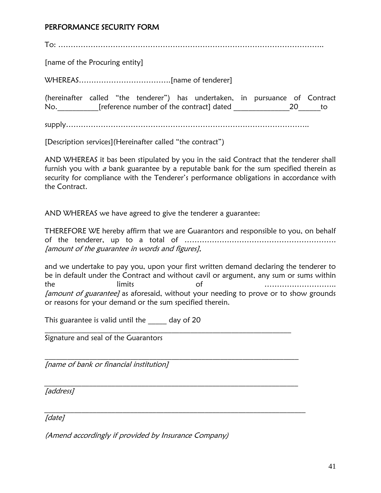#### PERFORMANCE SECURITY FORM

To: ……………………………………………………………………………………………..

[name of the Procuring entity]

WHEREAS……………………………….[name of tenderer]

(hereinafter called "the tenderer") has undertaken, in pursuance of Contract No.\_\_\_\_\_\_\_\_\_\_\_[reference number of the contract] dated \_\_\_\_\_\_\_\_\_\_\_\_\_\_\_20\_\_\_\_\_\_to

supply……………………………………………………………………………………..

[Description services](Hereinafter called "the contract")

AND WHEREAS it bas been stipulated by you in the said Contract that the tenderer shall furnish you with  $a$  bank guarantee by a reputable bank for the sum specified therein as security for compliance with the Tenderer's performance obligations in accordance with the Contract.

AND WHEREAS we have agreed to give the tenderer a guarantee:

THEREFORE WE hereby affirm that we are Guarantors and responsible to you, on behalf of the tenderer, up to a total of ……………………………………………………. [amount of the guarantee in words and figures],

and we undertake to pay you, upon your first written demand declaring the tenderer to be in default under the Contract and without cavil or argument, any sum or sums within the limits of ……………………….. [amount of guarantee] as aforesaid, without your needing to prove or to show grounds or reasons for your demand or the sum specified therein.

 $\mathcal{L}_\text{max}$  and  $\mathcal{L}_\text{max}$  and  $\mathcal{L}_\text{max}$  and  $\mathcal{L}_\text{max}$  and  $\mathcal{L}_\text{max}$  and  $\mathcal{L}_\text{max}$ 

 $\mathcal{L}_\text{max} = \mathcal{L}_\text{max} = \mathcal{L}_\text{max} = \mathcal{L}_\text{max} = \mathcal{L}_\text{max} = \mathcal{L}_\text{max} = \mathcal{L}_\text{max} = \mathcal{L}_\text{max} = \mathcal{L}_\text{max} = \mathcal{L}_\text{max} = \mathcal{L}_\text{max} = \mathcal{L}_\text{max} = \mathcal{L}_\text{max} = \mathcal{L}_\text{max} = \mathcal{L}_\text{max} = \mathcal{L}_\text{max} = \mathcal{L}_\text{max} = \mathcal{L}_\text{max} = \mathcal{$ 

 $-$  . The contribution of the contribution of  $\mathcal{L}_1$  ,  $\mathcal{L}_2$  ,  $\mathcal{L}_3$  ,  $\mathcal{L}_4$  ,  $\mathcal{L}_5$  ,  $\mathcal{L}_6$  ,  $\mathcal{L}_7$  ,  $\mathcal{L}_8$  ,  $\mathcal{L}_9$  ,  $\mathcal{L}_8$  ,  $\mathcal{L}_9$  ,  $\mathcal{L}_9$  ,  $\mathcal{L}_8$  ,  $\mathcal{L}_9$  ,  $\mathcal{L}_$ 

This guarantee is valid until the day of 20

Signature and seal of the Guarantors

[name of bank or financial institution]

[address]

\_\_\_\_\_\_\_\_\_\_\_\_\_\_\_\_\_\_\_\_\_\_\_\_\_\_\_\_\_\_\_\_\_\_\_\_\_\_\_\_\_\_\_\_\_\_\_\_\_\_\_\_\_\_\_\_\_\_\_\_\_\_\_\_\_\_\_\_\_\_ [date]

(Amend accordingly if provided by Insurance Company)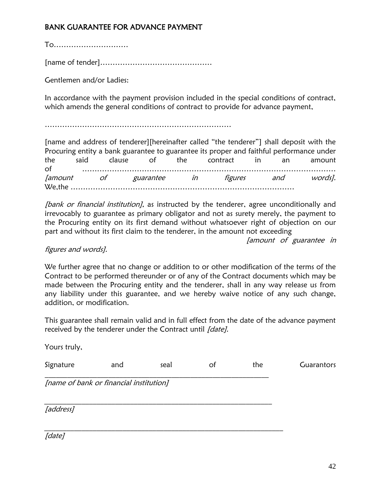### BANK GUARANTEE FOR ADVANCE PAYMENT

To…………………………

[name of tender]………………………………………

Gentlemen and/or Ladies:

In accordance with the payment provision included in the special conditions of contract, which amends the general conditions of contract to provide for advance payment,

…………………………………………………………………

[name and address of tenderer][hereinafter called "the tenderer"] shall deposit with the Procuring entity a bank guarantee to guarantee its proper and faithful performance under the said clause of the contract in an amount of ………………………………………………………………………………………… [amount of guarantee in figures and words]. We,the ………………………………………………………………………………

[bank or financial institution], as instructed by the tenderer, agree unconditionally and irrevocably to guarantee as primary obligator and not as surety merely, the payment to the Procuring entity on its first demand without whatsoever right of objection on our part and without its first claim to the tenderer, in the amount not exceeding

[amount of guarantee in

#### figures and words].

We further agree that no change or addition to or other modification of the terms of the Contract to be performed thereunder or of any of the Contract documents which may be made between the Procuring entity and the tenderer, shall in any way release us from any liability under this guarantee, and we hereby waive notice of any such change, addition, or modification.

This guarantee shall remain valid and in full effect from the date of the advance payment received by the tenderer under the Contract until [date].

| and | seal | оt                                      | the | Guarantors |
|-----|------|-----------------------------------------|-----|------------|
|     |      |                                         |     |            |
|     |      |                                         |     |            |
|     |      | [name of bank or financial institution] |     |            |

[date]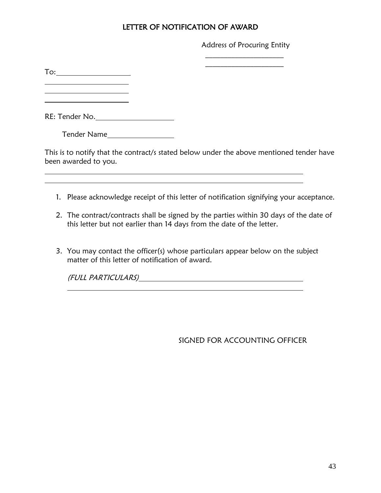### LETTER OF NOTIFICATION OF AWARD

Address of Procuring Entity  $\mathcal{L}=\mathcal{L}^{\mathcal{L}}$ 

 $\mathcal{L}=\mathcal{L}^{\mathcal{L}}$ 

To:

<u> 1989 - Johann Barn, mars and de Branch Barn, mars and de Branch Barn, mars and de Branch Barn, mars and de Br</u>

RE: Tender No.

Tender Name

This is to notify that the contract/s stated below under the above mentioned tender have been awarded to you.

- 1. Please acknowledge receipt of this letter of notification signifying your acceptance.
- 2. The contract/contracts shall be signed by the parties within 30 days of the date of this letter but not earlier than 14 days from the date of the letter.
- 3. You may contact the officer(s) whose particulars appear below on the subject matter of this letter of notification of award.

(FULL PARTICULARS)

SIGNED FOR ACCOUNTING OFFICER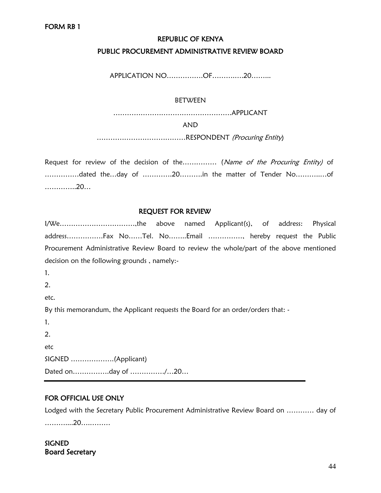#### REPUBLIC OF KENYA

#### PUBLIC PROCUREMENT ADMINISTRATIVE REVIEW BOARD

APPLICATION NO…………….OF……….….20……...

#### BETWEEN

…………………………………………….APPLICANT

#### AND

…………………………………RESPONDENT (Procuring Entity)

Request for review of the decision of the…………… (Name of the Procuring Entity) of ……………dated the…day of ………….20……….in the matter of Tender No………..…of …………..20…

#### REQUEST FOR REVIEW

I/We……………………………,the above named Applicant(s), of address: Physical address…………….Fax No……Tel. No……..Email ……………, hereby request the Public Procurement Administrative Review Board to review the whole/part of the above mentioned decision on the following grounds , namely:-

1.

2.

etc.

By this memorandum, the Applicant requests the Board for an order/orders that: -

1. 2. etc SIGNED ……………….(Applicant) Dated on…………….day of ……………/…20…

#### FOR OFFICIAL USE ONLY

Lodged with the Secretary Public Procurement Administrative Review Board on ………… day of ………....20….………

**SIGNED** Board Secretary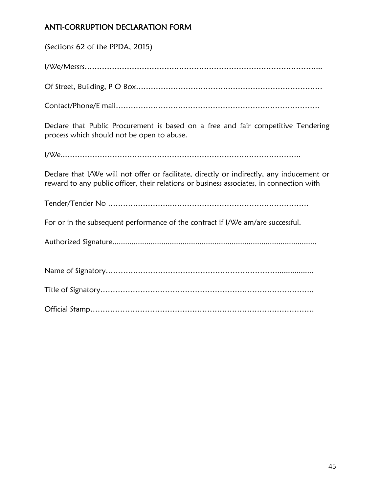### ANTI-CORRUPTION DECLARATION FORM

| (Sections 62 of the PPDA, 2015)                                                                                                                                                       |
|---------------------------------------------------------------------------------------------------------------------------------------------------------------------------------------|
|                                                                                                                                                                                       |
|                                                                                                                                                                                       |
|                                                                                                                                                                                       |
| Declare that Public Procurement is based on a free and fair competitive Tendering<br>process which should not be open to abuse.                                                       |
|                                                                                                                                                                                       |
| Declare that I/We will not offer or facilitate, directly or indirectly, any inducement or<br>reward to any public officer, their relations or business associates, in connection with |
|                                                                                                                                                                                       |
| For or in the subsequent performance of the contract if I/We am/are successful.                                                                                                       |
|                                                                                                                                                                                       |
|                                                                                                                                                                                       |
|                                                                                                                                                                                       |
|                                                                                                                                                                                       |